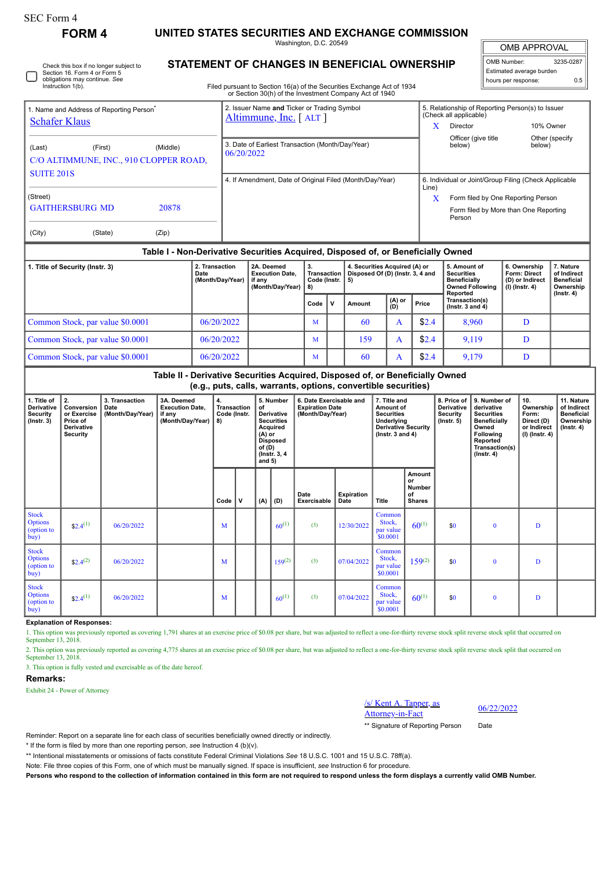| orm<br>ı<br>. . |  |
|-----------------|--|
|-----------------|--|

Instruction 1(b).

**FORM 4 UNITED STATES SECURITIES AND EXCHANGE COMMISSION**

Washington, D.C. 20549

OMB APPROVAL

| OMB Number:              | 3235-0287 |
|--------------------------|-----------|
| Estimated average burden |           |
| hours per response:      | 0 5       |

| Check this box if no longer subject to | <b>SIAILWENT OF CHANG</b>    |
|----------------------------------------|------------------------------|
| Section 16. Form 4 or Form 5           |                              |
| obligations may continue. See          |                              |
| $l$ notruotion $1/h$                   | Filed purpuest to Cootion 10 |

## **STATEMENT OF CHANGES IN BENEFICIAL OWNERSHIP**

Filed pursuant to Section 16(a) of the Securities Exchange Act of 1934 or Section 30(h) of the Investment Company Act of 1940

| . Name and Address of Reporting Person <sup>®</sup><br><b>Schafer Klaus</b> |                                                                                  | 2. Issuer Name and Ticker or Trading Symbol<br>Altimmune, Inc. [ALT] |    |                               | 5. Relationship of Reporting Person(s) to Issuer<br>(Check all applicable) |                                                 |              |                 |  |  |  |
|-----------------------------------------------------------------------------|----------------------------------------------------------------------------------|----------------------------------------------------------------------|----|-------------------------------|----------------------------------------------------------------------------|-------------------------------------------------|--------------|-----------------|--|--|--|
|                                                                             |                                                                                  |                                                                      |    |                               |                                                                            | Director                                        | 10% Owner    |                 |  |  |  |
| (Middle)<br>(Last)<br>(First)<br>C/O ALTIMMUNE, INC., 910 CLOPPER ROAD,     | 06/20/2022                                                                       | 3. Date of Earliest Transaction (Month/Day/Year)                     |    |                               |                                                                            | Officer (give title<br>below)                   | below)       | Other (specify) |  |  |  |
| <b>SUITE 201S</b>                                                           |                                                                                  | 4. If Amendment, Date of Original Filed (Month/Day/Year)             |    |                               | 6. Individual or Joint/Group Filing (Check Applicable<br>Line)             |                                                 |              |                 |  |  |  |
| (Street)                                                                    |                                                                                  |                                                                      |    |                               | x                                                                          | Form filed by One Reporting Person              |              |                 |  |  |  |
| <b>GAITHERSBURG MD</b><br>20878                                             |                                                                                  |                                                                      |    |                               |                                                                            | Form filed by More than One Reporting<br>Person |              |                 |  |  |  |
| (City)<br>(State)<br>(Zip)                                                  |                                                                                  |                                                                      |    |                               |                                                                            |                                                 |              |                 |  |  |  |
|                                                                             | Table I - Non-Derivative Securities Acquired, Disposed of, or Beneficially Owned |                                                                      |    |                               |                                                                            |                                                 |              |                 |  |  |  |
| 1. Title of Security (Instr. 3)                                             | 2. Transaction                                                                   | 2A. Deemed                                                           | 3. | 4. Securities Acquired (A) or |                                                                            | 5. Amount of                                    | 6. Ownership | 7. Nature       |  |  |  |

| $\frac{1}{2}$ . The Office of $\frac{1}{2}$ | Date<br>(Month/Day/Year) | $-$<br><b>Execution Date.</b><br>if anv<br>(Month/Day/Year) | <b>Transaction I</b><br>Code (Instr. $\vert 5 \rangle$ |   | Disposed Of (D) (Instr. 3, 4 and |                | <u>v. Andaru</u><br>Securities<br>Beneficially<br><b>Owned Following</b><br>Reported | <b>Form: Direct</b><br>(D) or Indirect<br>(I) (Instr. 4) | .<br>of Indirect<br><b>Beneficial</b><br>Ownership<br>$($ lnstr. 4 $)$ |  |
|---------------------------------------------|--------------------------|-------------------------------------------------------------|--------------------------------------------------------|---|----------------------------------|----------------|--------------------------------------------------------------------------------------|----------------------------------------------------------|------------------------------------------------------------------------|--|
|                                             |                          |                                                             | Code                                                   | v | Amount                           | $(A)$ or $(D)$ | Price                                                                                | Transaction(s)<br>( $lnstr. 3 and 4$ )                   |                                                                        |  |
| Common Stock, par value \$0.0001            | 06/20/2022               |                                                             | M                                                      |   | -60                              |                | \$2.4                                                                                | 8.960                                                    |                                                                        |  |
| Common Stock, par value \$0.0001            | 06/20/2022               |                                                             | M                                                      |   | 159                              |                | \$2.4                                                                                | 9.119                                                    |                                                                        |  |
| Common Stock, par value \$0.0001            | 06/20/2022               |                                                             | M                                                      |   | 60                               |                | \$2.4                                                                                | 9,179                                                    |                                                                        |  |

**Table II - Derivative Securities Acquired, Disposed of, or Beneficially Owned (e.g., puts, calls, warrants, options, convertible securities)**

| 1. Title of<br>Derivative<br><b>Security</b><br>$($ lnstr. 3 $)$ | 2.<br>Conversion<br>or Exercise<br>Price of<br><b>Derivative</b><br>Security | 3. Transaction<br>Date<br>(Month/Day/Year) | 3A. Deemed<br><b>Execution Date,</b><br>if any<br>(Month/Day/Year) | 4.<br>Transaction<br>Code (Instr.<br>8) |              | of<br>$(A)$ or<br>of $(D)$<br>and $5)$ | 5. Number<br><b>Derivative</b><br><b>Securities</b><br>Acquired<br><b>Disposed</b><br>(Instr. 3, 4) | 6. Date Exercisable and<br><b>Expiration Date</b><br>(Month/Day/Year) |                    |                                           |                                                      | 7. Title and<br>Amount of<br><b>Securities</b><br>Underlying<br><b>Derivative Security</b><br>$($ lnstr. 3 and 4 $)$ |          | 8. Price of<br><b>Derivative</b><br>Security<br>$($ lnstr. 5 $)$ | 9. Number of<br>derivative<br><b>Securities</b><br><b>Beneficially</b><br>Owned<br><b>Following</b><br>Reported<br>Transaction(s)<br>$($ Instr. 4 $)$ | 10.<br>Ownership<br>Form:<br>Direct (D)<br>or Indirect<br>$(I)$ (Instr. 4) | 11. Nature<br>of Indirect<br><b>Beneficial</b><br>Ownership<br>$($ Instr. 4 $)$ |
|------------------------------------------------------------------|------------------------------------------------------------------------------|--------------------------------------------|--------------------------------------------------------------------|-----------------------------------------|--------------|----------------------------------------|-----------------------------------------------------------------------------------------------------|-----------------------------------------------------------------------|--------------------|-------------------------------------------|------------------------------------------------------|----------------------------------------------------------------------------------------------------------------------|----------|------------------------------------------------------------------|-------------------------------------------------------------------------------------------------------------------------------------------------------|----------------------------------------------------------------------------|---------------------------------------------------------------------------------|
|                                                                  |                                                                              |                                            |                                                                    | Code                                    | $\mathsf{v}$ | (A)                                    | (D)                                                                                                 | Date<br>Exercisable                                                   | Expiration<br>Date | Title                                     | Amount<br>or<br><b>Number</b><br>of<br><b>Shares</b> |                                                                                                                      |          |                                                                  |                                                                                                                                                       |                                                                            |                                                                                 |
| <b>Stock</b><br><b>Options</b><br>(option to<br>buy)             | $$2.4^{(1)}$$                                                                | 06/20/2022                                 |                                                                    | M                                       |              |                                        | $60^{(1)}$                                                                                          | (3)                                                                   | 12/30/2022         | Common<br>Stock,<br>par value<br>\$0.0001 | $60^{(1)}$                                           | \$0                                                                                                                  | $\bf{0}$ | D                                                                |                                                                                                                                                       |                                                                            |                                                                                 |
| <b>Stock</b><br><b>Options</b><br>(option to<br>buy)             | $$2.4^{(2)}$                                                                 | 06/20/2022                                 |                                                                    | M                                       |              |                                        | $159^{(2)}$                                                                                         | (3)                                                                   | 07/04/2022         | Common<br>Stock,<br>par value<br>\$0.0001 | $159^{(2)}$                                          | \$0                                                                                                                  | $\bf{0}$ | D                                                                |                                                                                                                                                       |                                                                            |                                                                                 |
| <b>Stock</b><br><b>Options</b><br>(option to<br>buy)             | $$2.4^{(1)}$$                                                                | 06/20/2022                                 |                                                                    | M                                       |              |                                        | $60^{(1)}$                                                                                          | (3)                                                                   | 07/04/2022         | Common<br>Stock,<br>par value<br>\$0.0001 | $60^{(1)}$                                           | \$0                                                                                                                  | $\bf{0}$ | D                                                                |                                                                                                                                                       |                                                                            |                                                                                 |

**Explanation of Responses:**

1. This option was previously reported as covering 1,791 shares at an exercise price of \$0.08 per share, but was adjusted to reflect a one-for-thirty reverse stock split reverse stock split that occurred on September 13, 2018.

2. This option was previously reported as covering 4,775 shares at an exercise price of \$0.08 per share, but was adjusted to reflect a one-for-thirty reverse stock split reverse stock split that occurred on September 13, 2018.

3. This option is fully vested and exercisable as of the date hereof.

## **Remarks:**

Exhibit 24 - Power of Attorney

/s/ Kent A. Tapper, as  $\frac{\text{S/Nent A. Iapper, as}}{\text{Atotropy-in-Fact}}$  06/22/2022

\*\* Signature of Reporting Person Date

Reminder: Report on a separate line for each class of securities beneficially owned directly or indirectly.

\* If the form is filed by more than one reporting person, *see* Instruction 4 (b)(v).

\*\* Intentional misstatements or omissions of facts constitute Federal Criminal Violations *See* 18 U.S.C. 1001 and 15 U.S.C. 78ff(a).

Note: File three copies of this Form, one of which must be manually signed. If space is insufficient, *see* Instruction 6 for procedure.

**Persons who respond to the collection of information contained in this form are not required to respond unless the form displays a currently valid OMB Number.**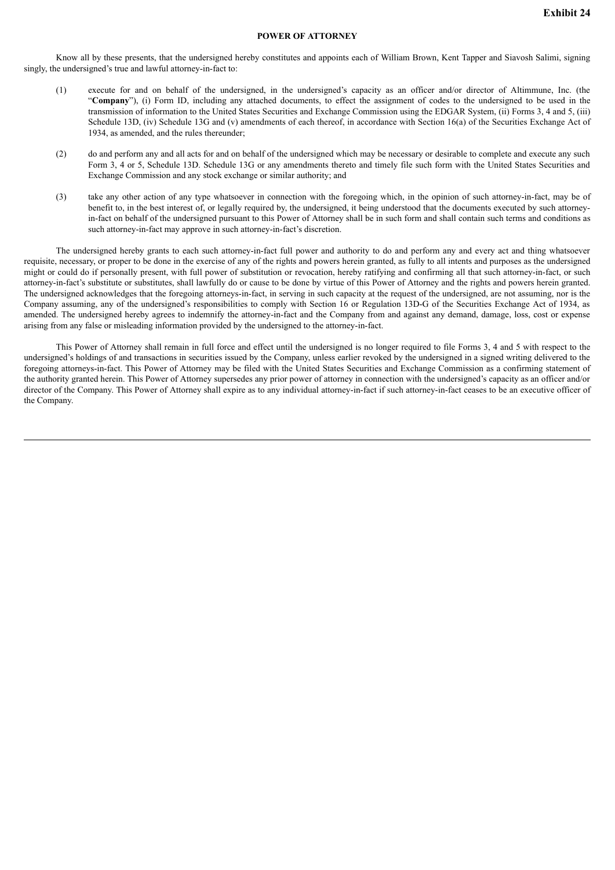## **POWER OF ATTORNEY**

Know all by these presents, that the undersigned hereby constitutes and appoints each of William Brown, Kent Tapper and Siavosh Salimi, signing singly, the undersigned's true and lawful attorney-in-fact to:

- (1) execute for and on behalf of the undersigned, in the undersigned's capacity as an officer and/or director of Altimmune, Inc. (the "**Company**"), (i) Form ID, including any attached documents, to effect the assignment of codes to the undersigned to be used in the transmission of information to the United States Securities and Exchange Commission using the EDGAR System, (ii) Forms 3, 4 and 5, (iii) Schedule 13D, (iv) Schedule 13G and (v) amendments of each thereof, in accordance with Section 16(a) of the Securities Exchange Act of 1934, as amended, and the rules thereunder;
- (2) do and perform any and all acts for and on behalf of the undersigned which may be necessary or desirable to complete and execute any such Form 3, 4 or 5, Schedule 13D. Schedule 13G or any amendments thereto and timely file such form with the United States Securities and Exchange Commission and any stock exchange or similar authority; and
- (3) take any other action of any type whatsoever in connection with the foregoing which, in the opinion of such attorney-in-fact, may be of benefit to, in the best interest of, or legally required by, the undersigned, it being understood that the documents executed by such attorneyin-fact on behalf of the undersigned pursuant to this Power of Attorney shall be in such form and shall contain such terms and conditions as such attorney-in-fact may approve in such attorney-in-fact's discretion.

The undersigned hereby grants to each such attorney-in-fact full power and authority to do and perform any and every act and thing whatsoever requisite, necessary, or proper to be done in the exercise of any of the rights and powers herein granted, as fully to all intents and purposes as the undersigned might or could do if personally present, with full power of substitution or revocation, hereby ratifying and confirming all that such attorney-in-fact, or such attorney-in-fact's substitute or substitutes, shall lawfully do or cause to be done by virtue of this Power of Attorney and the rights and powers herein granted. The undersigned acknowledges that the foregoing attorneys-in-fact, in serving in such capacity at the request of the undersigned, are not assuming, nor is the Company assuming, any of the undersigned's responsibilities to comply with Section 16 or Regulation 13D-G of the Securities Exchange Act of 1934, as amended. The undersigned hereby agrees to indemnify the attorney-in-fact and the Company from and against any demand, damage, loss, cost or expense arising from any false or misleading information provided by the undersigned to the attorney-in-fact.

This Power of Attorney shall remain in full force and effect until the undersigned is no longer required to file Forms 3, 4 and 5 with respect to the undersigned's holdings of and transactions in securities issued by the Company, unless earlier revoked by the undersigned in a signed writing delivered to the foregoing attorneys-in-fact. This Power of Attorney may be filed with the United States Securities and Exchange Commission as a confirming statement of the authority granted herein. This Power of Attorney supersedes any prior power of attorney in connection with the undersigned's capacity as an officer and/or director of the Company. This Power of Attorney shall expire as to any individual attorney-in-fact if such attorney-in-fact ceases to be an executive officer of the Company.